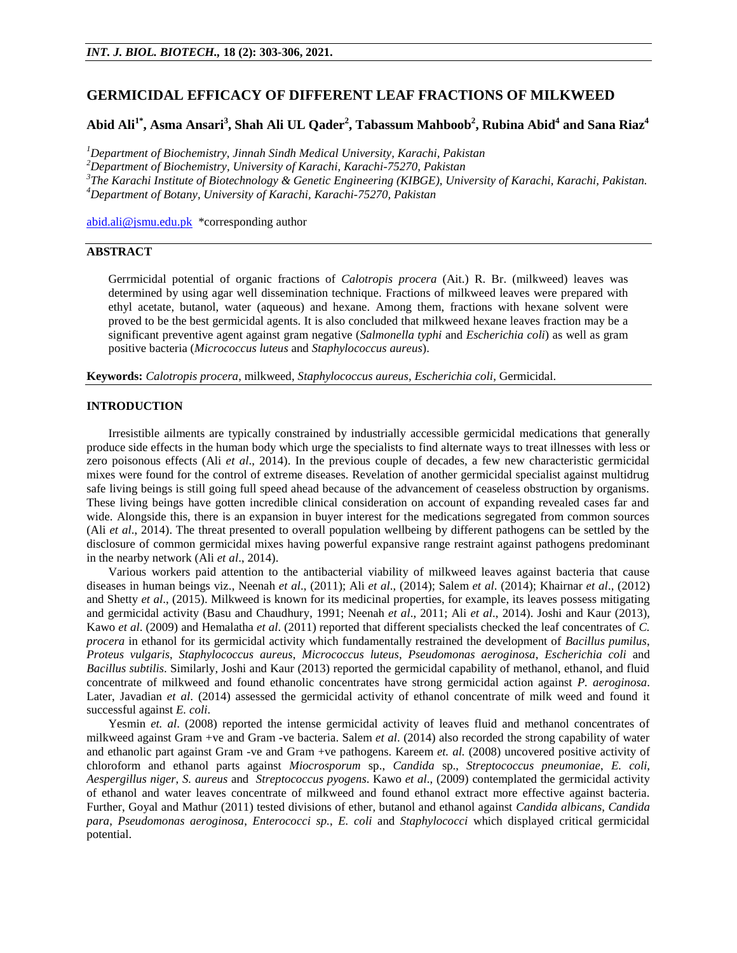## **GERMICIDAL EFFICACY OF DIFFERENT LEAF FRACTIONS OF MILKWEED**

# **Abid Ali1\* , Asma Ansari<sup>3</sup> , Shah Ali UL Qader<sup>2</sup> , Tabassum Mahboob<sup>2</sup> , Rubina Abid<sup>4</sup> and Sana Riaz<sup>4</sup>**

*Department of Biochemistry, Jinnah Sindh Medical University, Karachi, Pakistan Department of Biochemistry, University of Karachi, Karachi-75270, Pakistan The Karachi Institute of Biotechnology & Genetic Engineering (KIBGE), University of Karachi, Karachi, Pakistan. Department of Botany, University of Karachi, Karachi-75270, Pakistan*

[abid.ali@jsmu.edu.pk \\*](mailto:abid.ali@jsmu.edu.pk)corresponding author

### **ABSTRACT**

Gerrmicidal potential of organic fractions of *Calotropis procera* (Ait.) R. Br. (milkweed) leaves was determined by using agar well dissemination technique. Fractions of milkweed leaves were prepared with ethyl acetate, butanol, water (aqueous) and hexane. Among them, fractions with hexane solvent were proved to be the best germicidal agents. It is also concluded that milkweed hexane leaves fraction may be a significant preventive agent against gram negative (*Salmonella typhi* and *Escherichia coli*) as well as gram positive bacteria (*Micrococcus luteus* and *Staphylococcus aureus*).

**Keywords:** *Calotropis procera*, milkweed, *Staphylococcus aureus, Escherichia coli*, Germicidal.

### **INTRODUCTION**

Irresistible ailments are typically constrained by industrially accessible germicidal medications that generally produce side effects in the human body which urge the specialists to find alternate ways to treat illnesses with less or zero poisonous effects (Ali *et al*., 2014). In the previous couple of decades, a few new characteristic germicidal mixes were found for the control of extreme diseases. Revelation of another germicidal specialist against multidrug safe living beings is still going full speed ahead because of the advancement of ceaseless obstruction by organisms. These living beings have gotten incredible clinical consideration on account of expanding revealed cases far and wide. Alongside this, there is an expansion in buyer interest for the medications segregated from common sources (Ali *et al*., 2014). The threat presented to overall population wellbeing by different pathogens can be settled by the disclosure of common germicidal mixes having powerful expansive range restraint against pathogens predominant in the nearby network (Ali *et al*., 2014).

Various workers paid attention to the antibacterial viability of milkweed leaves against bacteria that cause diseases in human beings viz., Neenah *et al*., (2011); Ali *et al*., (2014); Salem *et al*. (2014); Khairnar *et al*., (2012) and Shetty *et al*., (2015). Milkweed is known for its medicinal properties, for example, its leaves possess mitigating and germicidal activity (Basu and Chaudhury, 1991; Neenah *et al*., 2011; Ali *et al*., 2014). Joshi and Kaur (2013), Kawo *et al*. (2009) and Hemalatha *et al*. (2011) reported that different specialists checked the leaf concentrates of *C. procera* in ethanol for its germicidal activity which fundamentally restrained the development of *Bacillus pumilus*, *Proteus vulgaris*, *Staphylococcus aureus*, *Micrococcus luteus*, *Pseudomonas aeroginosa*, *Escherichia coli* and *Bacillus subtilis*. Similarly, Joshi and Kaur (2013) reported the germicidal capability of methanol, ethanol, and fluid concentrate of milkweed and found ethanolic concentrates have strong germicidal action against *P. aeroginosa*. Later, Javadian *et al.* (2014) assessed the germicidal activity of ethanol concentrate of milk weed and found it successful against *E. coli*.

Yesmin *et. al.* (2008) reported the intense germicidal activity of leaves fluid and methanol concentrates of milkweed against Gram +ve and Gram -ve bacteria. Salem *et al*. (2014) also recorded the strong capability of water and ethanolic part against Gram -ve and Gram +ve pathogens. Kareem *et. al.* (2008) uncovered positive activity of chloroform and ethanol parts against *Miocrosporum* sp., *Candida* sp., *Streptococcus pneumoniae*, *E. coli*, *Aespergillus niger*, *S. aureus* and *Streptococcus pyogens*. Kawo *et al*., (2009) contemplated the germicidal activity of ethanol and water leaves concentrate of milkweed and found ethanol extract more effective against bacteria. Further, Goyal and Mathur (2011) tested divisions of ether, butanol and ethanol against *Candida albicans*, *Candida para*, *Pseudomonas aeroginosa*, *Enterococci sp.*, *E. coli* and *Staphylococci* which displayed critical germicidal potential.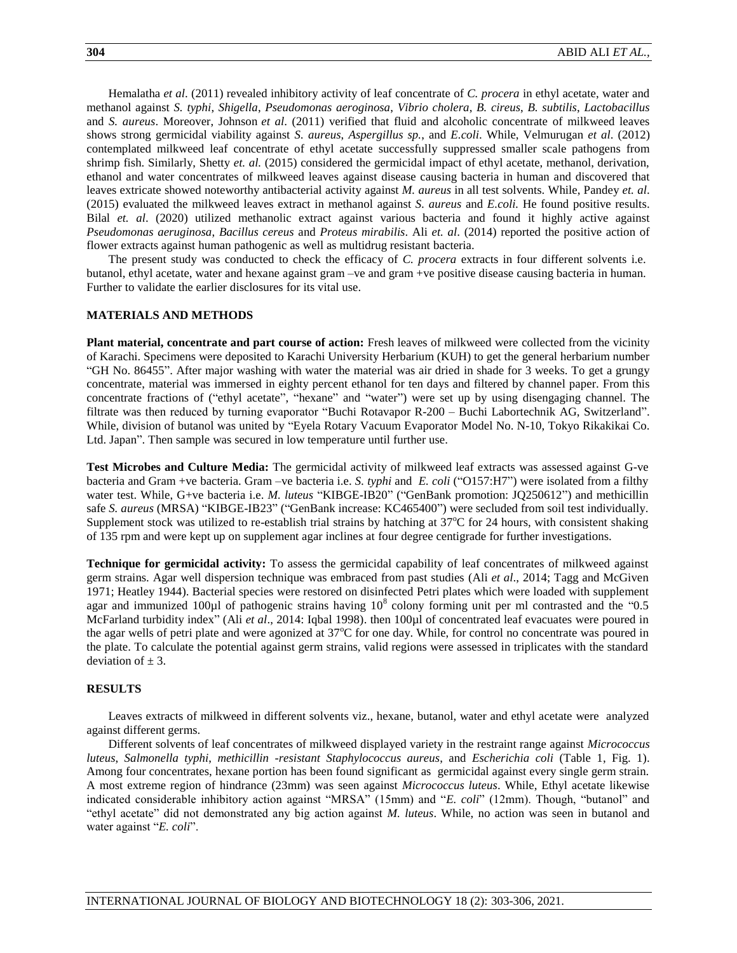Hemalatha *et al*. (2011) revealed inhibitory activity of leaf concentrate of *C. procera* in ethyl acetate, water and methanol against *S. typhi*, *Shigella*, *Pseudomonas aeroginosa*, *Vibrio cholera*, *B. cireus*, *B. subtilis*, *Lactobacillus* and *S. aureus*. Moreover, Johnson *et al*. (2011) verified that fluid and alcoholic concentrate of milkweed leaves shows strong germicidal viability against *S. aureus*, *Aspergillus sp.*, and *E.coli*. While, Velmurugan *et al*. (2012) contemplated milkweed leaf concentrate of ethyl acetate successfully suppressed smaller scale pathogens from shrimp fish. Similarly, Shetty *et. al.* (2015) considered the germicidal impact of ethyl acetate, methanol, derivation, ethanol and water concentrates of milkweed leaves against disease causing bacteria in human and discovered that leaves extricate showed noteworthy antibacterial activity against *M. aureus* in all test solvents. While, Pandey *et. al*. (2015) evaluated the milkweed leaves extract in methanol against *S. aureus* and *E.coli.* He found positive results. Bilal *et. al*. (2020) utilized methanolic extract against various bacteria and found it highly active against *Pseudomonas aeruginosa*, *Bacillus cereus* and *Proteus mirabilis*. Ali *et. al*. (2014) reported the positive action of flower extracts against human pathogenic as well as multidrug resistant bacteria.

The present study was conducted to check the efficacy of *C. procera* extracts in four different solvents i.e. butanol, ethyl acetate, water and hexane against gram –ve and gram +ve positive disease causing bacteria in human. Further to validate the earlier disclosures for its vital use.

#### **MATERIALS AND METHODS**

**Plant material, concentrate and part course of action:** Fresh leaves of milkweed were collected from the vicinity of Karachi. Specimens were deposited to Karachi University Herbarium (KUH) to get the general herbarium number "GH No. 86455". After major washing with water the material was air dried in shade for 3 weeks. To get a grungy concentrate, material was immersed in eighty percent ethanol for ten days and filtered by channel paper. From this concentrate fractions of ("ethyl acetate", "hexane" and "water") were set up by using disengaging channel. The filtrate was then reduced by turning evaporator "Buchi Rotavapor R-200 – Buchi Labortechnik AG, Switzerland". While, division of butanol was united by "Eyela Rotary Vacuum Evaporator Model No. N-10, Tokyo Rikakikai Co. Ltd. Japan". Then sample was secured in low temperature until further use.

**Test Microbes and Culture Media:** The germicidal activity of milkweed leaf extracts was assessed against G-ve bacteria and Gram +ve bacteria. Gram –ve bacteria i.e. *S. typhi* and *E. coli* ("O157:H7") were isolated from a filthy water test. While, G+ve bacteria i.e. *M. luteus* "KIBGE-IB20" ("GenBank promotion: JQ250612") and methicillin safe *S. aureus* (MRSA) "KIBGE-IB23" ("GenBank increase: KC465400") were secluded from soil test individually. Supplement stock was utilized to re-establish trial strains by hatching at  $37^{\circ}$ C for 24 hours, with consistent shaking of 135 rpm and were kept up on supplement agar inclines at four degree centigrade for further investigations.

**Technique for germicidal activity:** To assess the germicidal capability of leaf concentrates of milkweed against germ strains. Agar well dispersion technique was embraced from past studies (Ali *et al*., 2014; Tagg and McGiven 1971; Heatley 1944). Bacterial species were restored on disinfected Petri plates which were loaded with supplement agar and immunized 100 $\mu$ l of pathogenic strains having 10<sup>8</sup> colony forming unit per ml contrasted and the "0.5 McFarland turbidity index" (Ali *et al*., 2014: Iqbal 1998). then 100µl of concentrated leaf evacuates were poured in the agar wells of petri plate and were agonized at 37<sup>o</sup>C for one day. While, for control no concentrate was poured in the plate. To calculate the potential against germ strains, valid regions were assessed in triplicates with the standard deviation of  $\pm$  3.

#### **RESULTS**

Leaves extracts of milkweed in different solvents viz., hexane, butanol, water and ethyl acetate were analyzed against different germs.

Different solvents of leaf concentrates of milkweed displayed variety in the restraint range against *Micrococcus luteus*, *Salmonella typhi*, *methicillin -resistant Staphylococcus aureus*, and *Escherichia coli* (Table 1, Fig. 1). Among four concentrates, hexane portion has been found significant as germicidal against every single germ strain. A most extreme region of hindrance (23mm) was seen against *Micrococcus luteus*. While, Ethyl acetate likewise indicated considerable inhibitory action against "MRSA" (15mm) and "*E. coli*" (12mm). Though, "butanol" and "ethyl acetate" did not demonstrated any big action against *M. luteus*. While, no action was seen in butanol and water against "*E. coli*".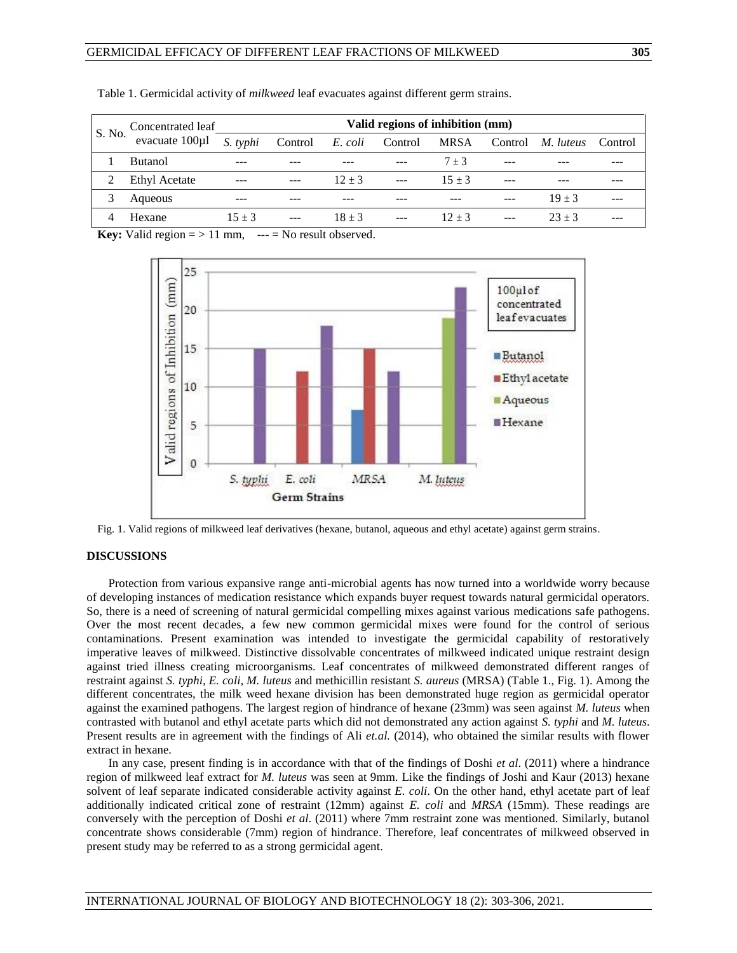| S. No. | Concentrated leaf | Valid regions of inhibition (mm) |         |          |                      |          |  |                          |         |
|--------|-------------------|----------------------------------|---------|----------|----------------------|----------|--|--------------------------|---------|
|        | evacuate 100µl    | S. typhi                         | Control |          | E. coli Control MRSA |          |  | Control <i>M. luteus</i> | Control |
|        | <b>Butanol</b>    |                                  |         |          |                      | $7 + 3$  |  |                          |         |
|        | Ethyl Acetate     |                                  |         | $12 + 3$ | $\cdots$             | $15 + 3$ |  |                          |         |
|        | Aqueous           |                                  |         |          |                      |          |  | $19 + 3$                 |         |
|        | Hexane            | $15 + 3$                         |         | $18 + 3$ |                      | $12 + 3$ |  | $23 + 3$                 |         |

Table 1. Germicidal activity of *milkweed* leaf evacuates against different germ strains.

**Key:** Valid region  $=$  > 11 mm,  $---$  = No result observed.



Fig. 1. Valid regions of milkweed leaf derivatives (hexane, butanol, aqueous and ethyl acetate) against germ strains.

## **DISCUSSIONS**

Protection from various expansive range anti-microbial agents has now turned into a worldwide worry because of developing instances of medication resistance which expands buyer request towards natural germicidal operators. So, there is a need of screening of natural germicidal compelling mixes against various medications safe pathogens. Over the most recent decades, a few new common germicidal mixes were found for the control of serious contaminations. Present examination was intended to investigate the germicidal capability of restoratively imperative leaves of milkweed. Distinctive dissolvable concentrates of milkweed indicated unique restraint design against tried illness creating microorganisms. Leaf concentrates of milkweed demonstrated different ranges of restraint against *S. typhi, E. coli, M. luteus* and methicillin resistant *S. aureus* (MRSA) (Table 1., Fig. 1). Among the different concentrates, the milk weed hexane division has been demonstrated huge region as germicidal operator against the examined pathogens. The largest region of hindrance of hexane (23mm) was seen against *M. luteus* when contrasted with butanol and ethyl acetate parts which did not demonstrated any action against *S. typhi* and *M. luteus*. Present results are in agreement with the findings of Ali *et.al.* (2014), who obtained the similar results with flower extract in hexane.

In any case, present finding is in accordance with that of the findings of Doshi *et al*. (2011) where a hindrance region of milkweed leaf extract for *M. luteus* was seen at 9mm. Like the findings of Joshi and Kaur (2013) hexane solvent of leaf separate indicated considerable activity against *E. coli*. On the other hand, ethyl acetate part of leaf additionally indicated critical zone of restraint (12mm) against *E. coli* and *MRSA* (15mm). These readings are conversely with the perception of Doshi *et al*. (2011) where 7mm restraint zone was mentioned. Similarly, butanol concentrate shows considerable (7mm) region of hindrance. Therefore, leaf concentrates of milkweed observed in present study may be referred to as a strong germicidal agent.